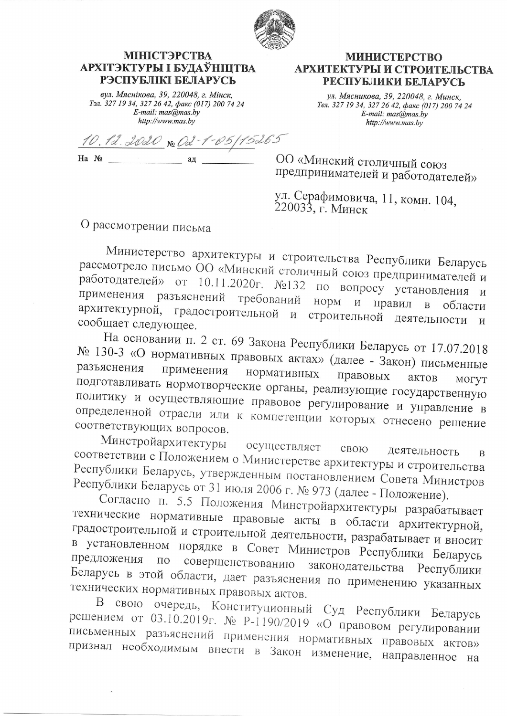

## **МІНІСТЭРСТВА** АРХІТЭКТУРЫ І БУДАЎНІЦТВА РЭСПУБЛІКІ БЕЛАРУСЬ

вул. Мяснікова, 39, 220048, г. Мінск, Тэл. 327 19 34, 327 26 42, факс (017) 200 74 24 E-mail:  $mas@mas.bv$ http://www.mas.by

10.12.2020 No Od-1-05/15265 Ha No ад

**МИНИСТЕРСТВО** АРХИТЕКТУРЫ И СТРОИТЕЛЬСТВА РЕСПУБЛИКИ БЕЛАРУСЬ

ул. Мясникова, 39, 220048, г. Минск,<br>Тел. 327 19 34, 327 26 42, факс (017) 200 74 24  $E$ -mail: mas@mas.by http://www.mas.bv

ОО «Минский столичный союз предпринимателей и работодателей»

ул. Серафимовича, 11, комн. 104,<br>220033, г. Минск

О рассмотрении письма

Министерство архитектуры и строительства Республики Беларусь рассмотрело письмо ОО «Минский столичный союз предпринимателей и работодателей» от 10.11.2020г. №132 по вопросу установления и применения разъяснений требований норм правил  $\mathbf{B}$ архитектурной, градостроительной области строительной  $\overline{M}$ деятельности сообщает следующее.  $\mathbf{M}$ 

На основании п. 2 ст. 69 Закона Республики Беларусь от 17.07.2018 № 130-3 «О нормативных правовых актах» (далее - Закон) письменные разъяснения применения нормативных правовых актов подготавливать нормотворческие органы, реализующие государственную МОГУТ политику и осуществляющие правовое регулирование и управление в определенной отрасли или к компетенции которых отнесено решение соответствующих вопросов.

Минстройархитектуры осуществляет свою соответствии с Положением о Министерстве архитектуры и строительства деятельность Республики Беларусь, утвержденным постановлением Совета Министров Республики Беларусь от 31 июля 2006 г. № 973 (далее - Положение).

Согласно п. 5.5 Положения Минстройархитектуры разрабатывает технические нормативные правовые акты в области архитектурной, градостроительной и строительной деятельности, разрабатывает и вносит в установленном порядке в Совет Министров Республики Беларусь предложения совершенствованию законодательства  $\Pi{\rm O}$ Республики Беларусь в этой области, дает разъяснения по применению указанных технических нормативных правовых актов.

В свою очередь, Конституционный Суд Республики Беларусь решением от 03.10.2019г. № Р-1190/2019 «О правовом регулировании письменных разъяснений применения нормативных правовых актов» признал необходимым внести в Закон изменение, направленное на